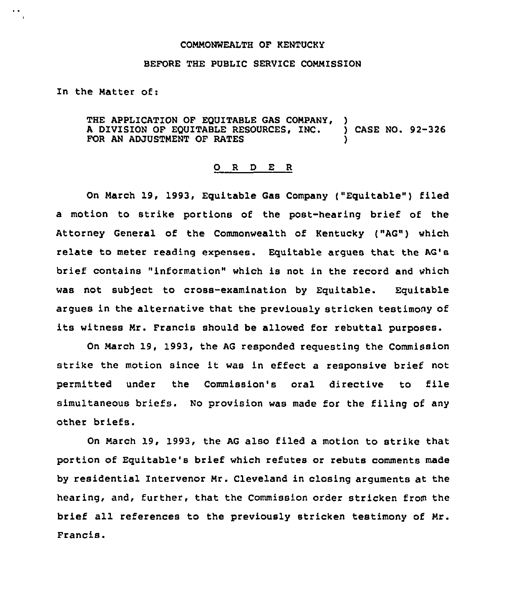## COMMONWEALTH OF KENTUCKY

## BEFORE THE PUBLIC SERVICE COMMISSION

In the Matter of:

THE APPLICATION OF EQUITABLE GAS COMPANY, <sup>A</sup> DIVISION OF EQUITABLE RESOURCES, ZNC. ) CASE NO. 92-326 FOR AN ADJUSTMENT OF RATES

## 0 R <sup>D</sup> E R

On March 19, 1993, Equitable Gas Company ("Equitable") filed a motion to strike portions of the post-hearing brief of the Attorney General of the Commonwealth of Kentucky ("AG") which relate to meter reading expenses. Equitable argues that the AG's brief contains "information" which is not in the record and which was not subject to cross-examination by Equitable. Equitable argues in the alternative that the previously stricken testimony of its witness Mr. Francis should be allowed for rebuttal purposes.

On March 19, 1993, the AG responded requesting the Commission strike the motion since it was in effect <sup>a</sup> responsive brief not permitted under the Commission's oral directive to file simultaneous briefs. No provision was made for the filing of any other briefs.

On March 19, 1993, the AG also filed a motion to strike that portion of Equitable's brief which refutes or rebuts comments made by residential Intervenor Mr. Cleveland in closing arguments at the hearing, and, further, that the Commission order stricken from the brief all references to the previously stricken testimony of Mr. Francis.